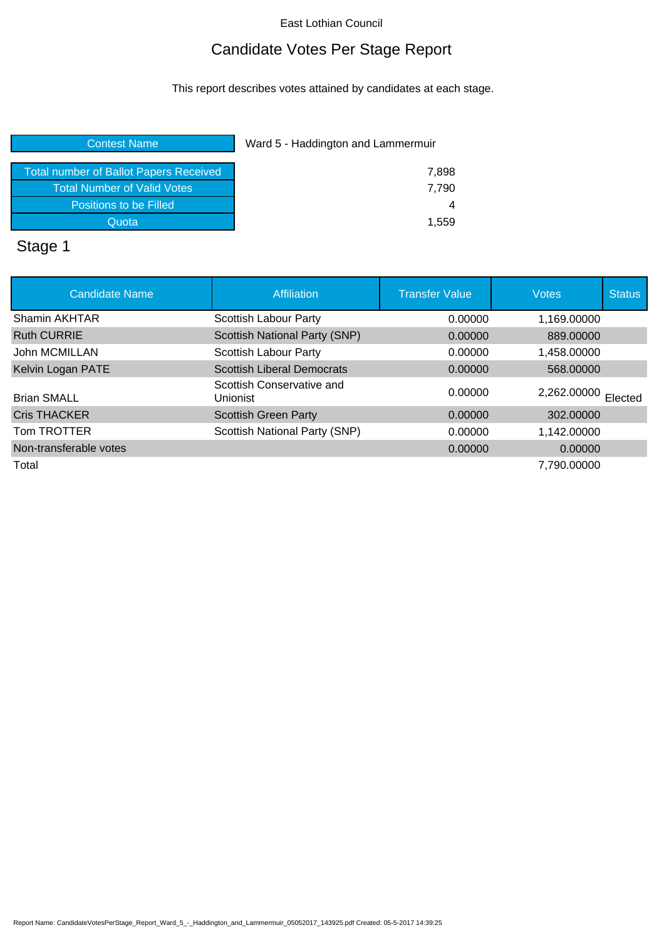# Candidate Votes Per Stage Report

This report describes votes attained by candidates at each stage.

#### **Contest Name Ward 5 - Haddington and Lammermuir**

| Total number of Ballot Papers Received | 7.898 |
|----------------------------------------|-------|
| <b>Total Number of Valid Votes</b>     | 7.790 |
| Positions to be Filled                 |       |
| Quota                                  | 1.559 |
|                                        |       |

#### Stage 1

| <b>Candidate Name</b>  | <b>Affiliation</b>                    | <b>Transfer Value</b> | <b>Votes</b>        | <b>Status</b> |
|------------------------|---------------------------------------|-----------------------|---------------------|---------------|
| Shamin AKHTAR          | Scottish Labour Party                 | 0.00000               | 1,169.00000         |               |
| <b>Ruth CURRIE</b>     | Scottish National Party (SNP)         | 0.00000               | 889,00000           |               |
| John MCMILLAN          | Scottish Labour Party                 | 0.00000               | 1.458.00000         |               |
| Kelvin Logan PATE      | <b>Scottish Liberal Democrats</b>     | 0.00000               | 568,00000           |               |
| <b>Brian SMALL</b>     | Scottish Conservative and<br>Unionist | 0.00000               | 2,262.00000 Elected |               |
| <b>Cris THACKER</b>    | <b>Scottish Green Party</b>           | 0.00000               | 302.00000           |               |
| Tom TROTTER            | Scottish National Party (SNP)         | 0.00000               | 1.142.00000         |               |
| Non-transferable votes |                                       | 0.00000               | 0.00000             |               |
| Total                  |                                       |                       | 7.790.00000         |               |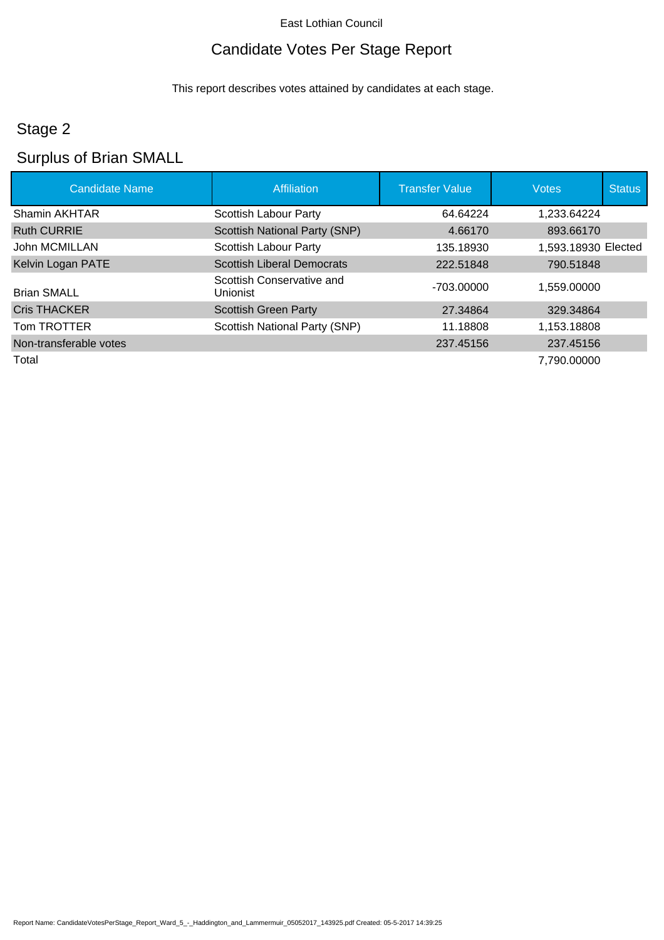# Candidate Votes Per Stage Report

This report describes votes attained by candidates at each stage.

# Stage 2

# Surplus of Brian SMALL

| <b>Candidate Name</b>  | Affiliation                                  | <b>Transfer Value</b> | <b>Votes</b>        | <b>Status</b> |
|------------------------|----------------------------------------------|-----------------------|---------------------|---------------|
| Shamin AKHTAR          | Scottish Labour Party                        | 64.64224              | 1,233.64224         |               |
| <b>Ruth CURRIE</b>     | Scottish National Party (SNP)                | 4.66170               | 893.66170           |               |
| John MCMILLAN          | <b>Scottish Labour Party</b>                 | 135.18930             | 1,593.18930 Elected |               |
| Kelvin Logan PATE      | <b>Scottish Liberal Democrats</b>            | 222.51848             | 790.51848           |               |
| <b>Brian SMALL</b>     | Scottish Conservative and<br><b>Unionist</b> | -703.00000            | 1,559.00000         |               |
| <b>Cris THACKER</b>    | <b>Scottish Green Party</b>                  | 27.34864              | 329.34864           |               |
| Tom TROTTER            | Scottish National Party (SNP)                | 11.18808              | 1,153.18808         |               |
| Non-transferable votes |                                              | 237.45156             | 237.45156           |               |
| Total                  |                                              |                       | 7,790.00000         |               |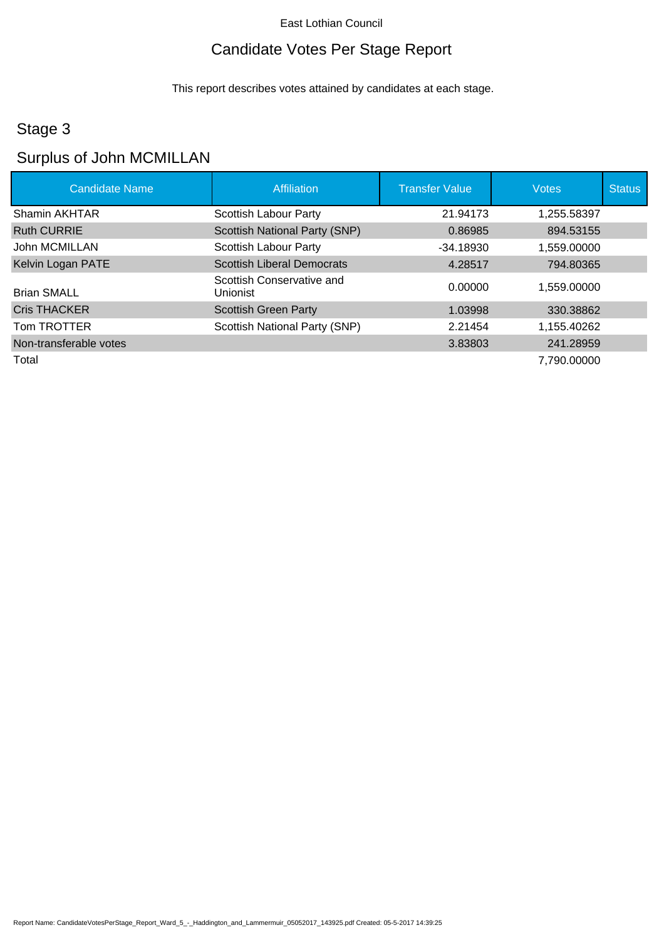# Candidate Votes Per Stage Report

This report describes votes attained by candidates at each stage.

# Stage 3

# Surplus of John MCMILLAN

| <b>Candidate Name</b>  | Affiliation                                  | <b>Transfer Value</b> | <b>Votes</b> | <b>Status</b> |
|------------------------|----------------------------------------------|-----------------------|--------------|---------------|
| Shamin AKHTAR          | Scottish Labour Party                        | 21.94173              | 1,255.58397  |               |
| <b>Ruth CURRIE</b>     | Scottish National Party (SNP)                | 0.86985               | 894.53155    |               |
| John MCMILLAN          | Scottish Labour Party                        | $-34.18930$           | 1,559.00000  |               |
| Kelvin Logan PATE      | <b>Scottish Liberal Democrats</b>            | 4.28517               | 794.80365    |               |
| <b>Brian SMALL</b>     | Scottish Conservative and<br><b>Unionist</b> | 0.00000               | 1.559.00000  |               |
| <b>Cris THACKER</b>    | <b>Scottish Green Party</b>                  | 1.03998               | 330.38862    |               |
| Tom TROTTER            | Scottish National Party (SNP)                | 2.21454               | 1.155.40262  |               |
| Non-transferable votes |                                              | 3.83803               | 241.28959    |               |
| Total                  |                                              |                       | 7.790.00000  |               |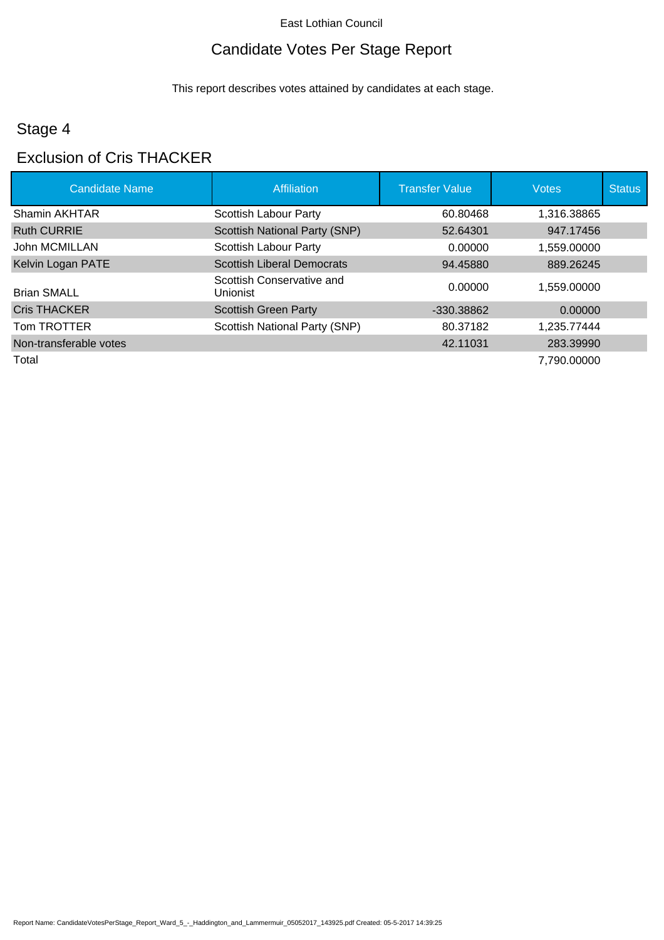# Candidate Votes Per Stage Report

This report describes votes attained by candidates at each stage.

# Stage 4

#### Exclusion of Cris THACKER

| <b>Candidate Name</b>  | <b>Affiliation</b>                    | <b>Transfer Value</b> | <b>Votes</b> | <b>Status</b> |
|------------------------|---------------------------------------|-----------------------|--------------|---------------|
| Shamin AKHTAR          | Scottish Labour Party                 | 60.80468              | 1,316.38865  |               |
| <b>Ruth CURRIE</b>     | <b>Scottish National Party (SNP)</b>  | 52.64301              | 947.17456    |               |
| John MCMILLAN          | <b>Scottish Labour Party</b>          | 0.00000               | 1.559.00000  |               |
| Kelvin Logan PATE      | <b>Scottish Liberal Democrats</b>     | 94.45880              | 889.26245    |               |
| <b>Brian SMALL</b>     | Scottish Conservative and<br>Unionist | 0.00000               | 1,559.00000  |               |
| <b>Cris THACKER</b>    | <b>Scottish Green Party</b>           | -330.38862            | 0.00000      |               |
| Tom TROTTER            | Scottish National Party (SNP)         | 80.37182              | 1,235.77444  |               |
| Non-transferable votes |                                       | 42.11031              | 283.39990    |               |
| Total                  |                                       |                       | 7,790.00000  |               |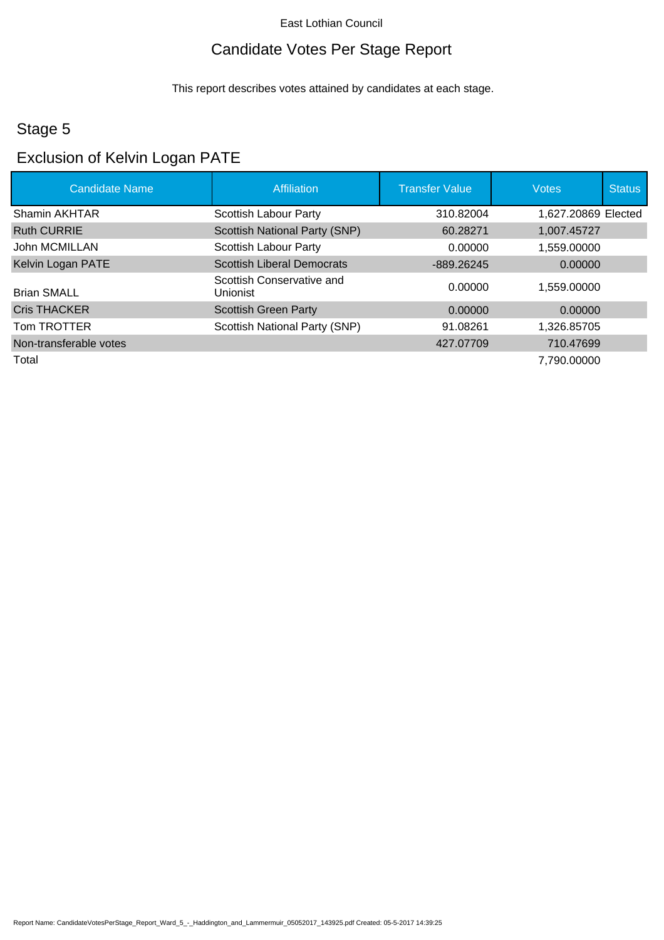# Candidate Votes Per Stage Report

This report describes votes attained by candidates at each stage.

# Stage 5

# Exclusion of Kelvin Logan PATE

| <b>Candidate Name</b>  | <b>Affiliation</b>                    | <b>Transfer Value</b> | <b>Votes</b>        | <b>Status</b> |
|------------------------|---------------------------------------|-----------------------|---------------------|---------------|
| Shamin AKHTAR          | Scottish Labour Party                 | 310.82004             | 1,627.20869 Elected |               |
| <b>Ruth CURRIE</b>     | <b>Scottish National Party (SNP)</b>  | 60.28271              | 1,007.45727         |               |
| John MCMILLAN          | Scottish Labour Party                 | 0.00000               | 1,559.00000         |               |
| Kelvin Logan PATE      | <b>Scottish Liberal Democrats</b>     | $-889.26245$          | 0.00000             |               |
| <b>Brian SMALL</b>     | Scottish Conservative and<br>Unionist | 0.00000               | 1,559.00000         |               |
| <b>Cris THACKER</b>    | <b>Scottish Green Party</b>           | 0.00000               | 0.00000             |               |
| Tom TROTTER            | Scottish National Party (SNP)         | 91.08261              | 1.326.85705         |               |
| Non-transferable votes |                                       | 427.07709             | 710.47699           |               |
| Total                  |                                       |                       | 7,790.00000         |               |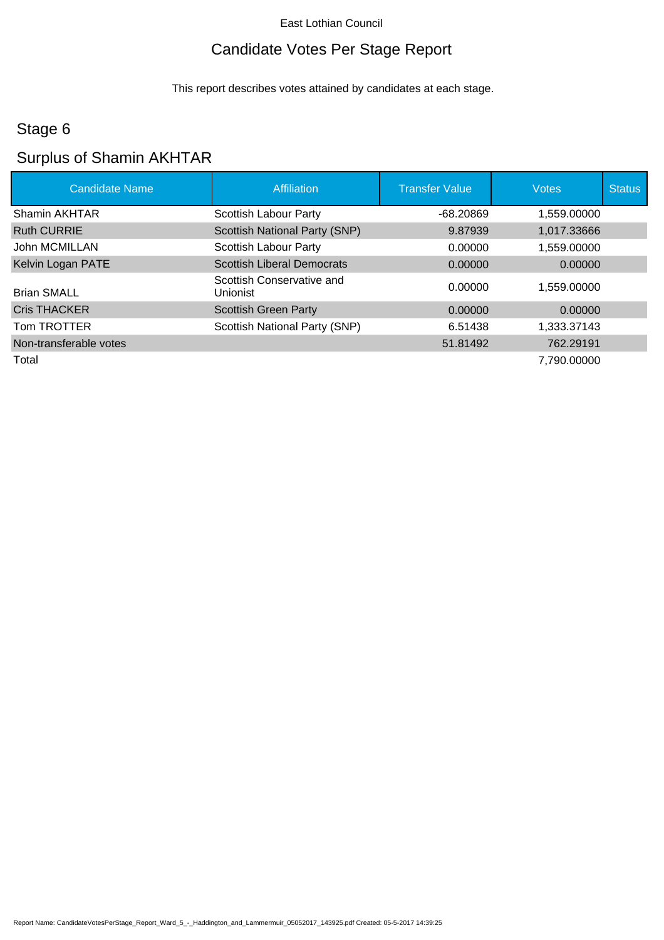# Candidate Votes Per Stage Report

This report describes votes attained by candidates at each stage.

# Stage 6

# Surplus of Shamin AKHTAR

| <b>Candidate Name</b>  | <b>Affiliation</b>                    | <b>Transfer Value</b> | <b>Votes</b> | <b>Status</b> |
|------------------------|---------------------------------------|-----------------------|--------------|---------------|
| Shamin AKHTAR          | Scottish Labour Party                 | $-68.20869$           | 1,559.00000  |               |
| <b>Ruth CURRIE</b>     | Scottish National Party (SNP)         | 9.87939               | 1,017.33666  |               |
| John MCMILLAN          | Scottish Labour Party                 | 0.00000               | 1,559.00000  |               |
| Kelvin Logan PATE      | <b>Scottish Liberal Democrats</b>     | 0.00000               | 0.00000      |               |
| <b>Brian SMALL</b>     | Scottish Conservative and<br>Unionist | 0.00000               | 1.559.00000  |               |
| <b>Cris THACKER</b>    | <b>Scottish Green Party</b>           | 0.00000               | 0.00000      |               |
| Tom TROTTER            | Scottish National Party (SNP)         | 6.51438               | 1,333.37143  |               |
| Non-transferable votes |                                       | 51.81492              | 762.29191    |               |
| Total                  |                                       |                       | 7,790.00000  |               |